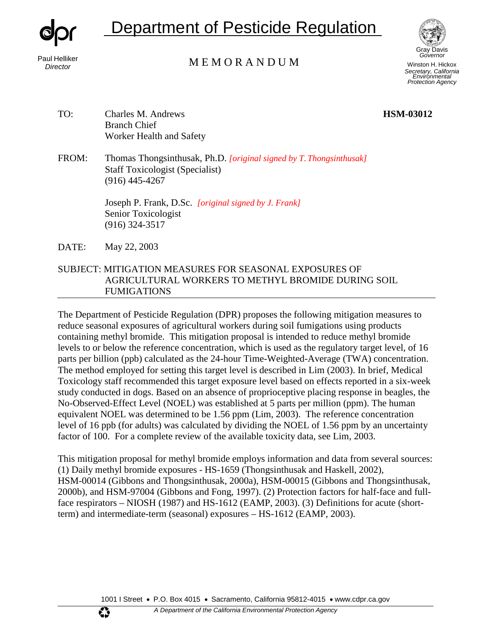

# Department of Pesticide Regulation



Paul Helliker<br>
M E M O R A N D U M

Winston H. Hickox *Secretary, California Environmental Protection Agency*

- TO: Charles M. Andrews **HSM-03012**  Branch Chief Worker Health and Safety
- FROM: Thomas Thongsinthusak, Ph.D. *[original signed by T. Thongsinthusak]* Staff Toxicologist (Specialist) (916) 445-4267

Joseph P. Frank, D.Sc. *[original signed by J. Frank]* Senior Toxicologist (916) 324-3517

DATE: May 22, 2003

# SUBJECT: MITIGATION MEASURES FOR SEASONAL EXPOSURES OF AGRICULTURAL WORKERS TO METHYL BROMIDE DURING SOIL FUMIGATIONS

The Department of Pesticide Regulation (DPR) proposes the following mitigation measures to reduce seasonal exposures of agricultural workers during soil fumigations using products containing methyl bromide. This mitigation proposal is intended to reduce methyl bromide levels to or below the reference concentration, which is used as the regulatory target level, of 16 parts per billion (ppb) calculated as the 24-hour Time-Weighted-Average (TWA) concentration. The method employed for setting this target level is described in Lim (2003). In brief, Medical Toxicology staff recommended this target exposure level based on effects reported in a six-week study conducted in dogs. Based on an absence of proprioceptive placing response in beagles, the No-Observed-Effect Level (NOEL) was established at 5 parts per million (ppm). The human equivalent NOEL was determined to be 1.56 ppm (Lim, 2003). The reference concentration level of 16 ppb (for adults) was calculated by dividing the NOEL of 1.56 ppm by an uncertainty factor of 100. For a complete review of the available toxicity data, see Lim, 2003.

This mitigation proposal for methyl bromide employs information and data from several sources: (1) Daily methyl bromide exposures - HS-1659 (Thongsinthusak and Haskell, 2002), HSM-00014 (Gibbons and Thongsinthusak, 2000a), HSM-00015 (Gibbons and Thongsinthusak, 2000b), and HSM-97004 (Gibbons and Fong, 1997). (2) Protection factors for half-face and fullface respirators – NIOSH (1987) and HS-1612 (EAMP, 2003). (3) Definitions for acute (shortterm) and intermediate-term (seasonal) exposures – HS-1612 (EAMP, 2003).

1001 I Street • P.O. Box 4015 • Sacramento, California 95812-4015 • [www.cdpr.ca.gov](http://www.cdpr.ca.gov/)

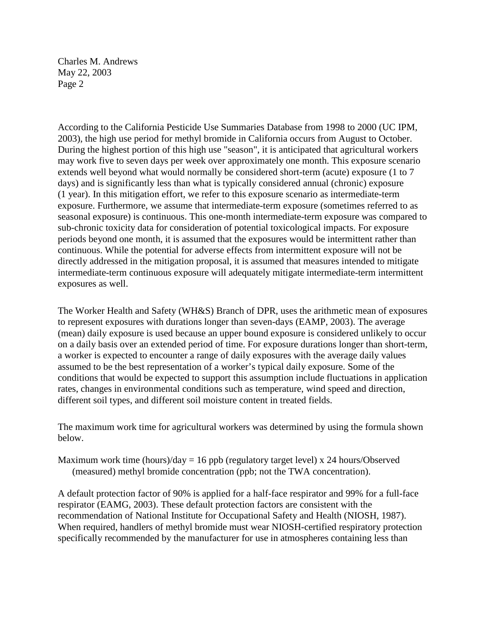According to the California Pesticide Use Summaries Database from 1998 to 2000 (UC IPM, 2003), the high use period for methyl bromide in California occurs from August to October. During the highest portion of this high use "season", it is anticipated that agricultural workers may work five to seven days per week over approximately one month. This exposure scenario extends well beyond what would normally be considered short-term (acute) exposure (1 to 7 days) and is significantly less than what is typically considered annual (chronic) exposure (1 year). In this mitigation effort, we refer to this exposure scenario as intermediate-term exposure. Furthermore, we assume that intermediate-term exposure (sometimes referred to as seasonal exposure) is continuous. This one-month intermediate-term exposure was compared to sub-chronic toxicity data for consideration of potential toxicological impacts. For exposure periods beyond one month, it is assumed that the exposures would be intermittent rather than continuous. While the potential for adverse effects from intermittent exposure will not be directly addressed in the mitigation proposal, it is assumed that measures intended to mitigate intermediate-term continuous exposure will adequately mitigate intermediate-term intermittent exposures as well.

The Worker Health and Safety (WH&S) Branch of DPR, uses the arithmetic mean of exposures to represent exposures with durations longer than seven-days (EAMP, 2003). The average (mean) daily exposure is used because an upper bound exposure is considered unlikely to occur on a daily basis over an extended period of time. For exposure durations longer than short-term, a worker is expected to encounter a range of daily exposures with the average daily values assumed to be the best representation of a worker's typical daily exposure. Some of the conditions that would be expected to support this assumption include fluctuations in application rates, changes in environmental conditions such as temperature, wind speed and direction, different soil types, and different soil moisture content in treated fields.

The maximum work time for agricultural workers was determined by using the formula shown below.

Maximum work time (hours)/day = 16 ppb (regulatory target level) x 24 hours/Observed (measured) methyl bromide concentration (ppb; not the TWA concentration).

A default protection factor of 90% is applied for a half-face respirator and 99% for a full-face respirator (EAMG, 2003). These default protection factors are consistent with the recommendation of National Institute for Occupational Safety and Health (NIOSH, 1987). When required, handlers of methyl bromide must wear NIOSH-certified respiratory protection specifically recommended by the manufacturer for use in atmospheres containing less than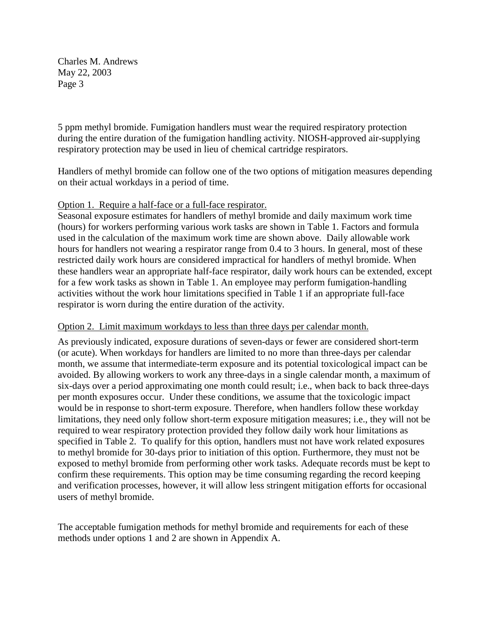5 ppm methyl bromide. Fumigation handlers must wear the required respiratory protection during the entire duration of the fumigation handling activity. NIOSH-approved air-supplying respiratory protection may be used in lieu of chemical cartridge respirators.

Handlers of methyl bromide can follow one of the two options of mitigation measures depending on their actual workdays in a period of time.

## Option 1. Require a half-face or a full-face respirator.

Seasonal exposure estimates for handlers of methyl bromide and daily maximum work time (hours) for workers performing various work tasks are shown in Table 1. Factors and formula used in the calculation of the maximum work time are shown above. Daily allowable work hours for handlers not wearing a respirator range from 0.4 to 3 hours. In general, most of these restricted daily work hours are considered impractical for handlers of methyl bromide. When these handlers wear an appropriate half-face respirator, daily work hours can be extended, except for a few work tasks as shown in Table 1. An employee may perform fumigation-handling activities without the work hour limitations specified in Table 1 if an appropriate full-face respirator is worn during the entire duration of the activity.

## Option 2. Limit maximum workdays to less than three days per calendar month.

As previously indicated, exposure durations of seven-days or fewer are considered short-term (or acute). When workdays for handlers are limited to no more than three-days per calendar month, we assume that intermediate-term exposure and its potential toxicological impact can be avoided. By allowing workers to work any three-days in a single calendar month, a maximum of six-days over a period approximating one month could result; i.e., when back to back three-days per month exposures occur. Under these conditions, we assume that the toxicologic impact would be in response to short-term exposure. Therefore, when handlers follow these workday limitations, they need only follow short-term exposure mitigation measures; i.e., they will not be required to wear respiratory protection provided they follow daily work hour limitations as specified in Table 2. To qualify for this option, handlers must not have work related exposures to methyl bromide for 30-days prior to initiation of this option. Furthermore, they must not be exposed to methyl bromide from performing other work tasks. Adequate records must be kept to confirm these requirements. This option may be time consuming regarding the record keeping and verification processes, however, it will allow less stringent mitigation efforts for occasional users of methyl bromide.

The acceptable fumigation methods for methyl bromide and requirements for each of these methods under options 1 and 2 are shown in Appendix A.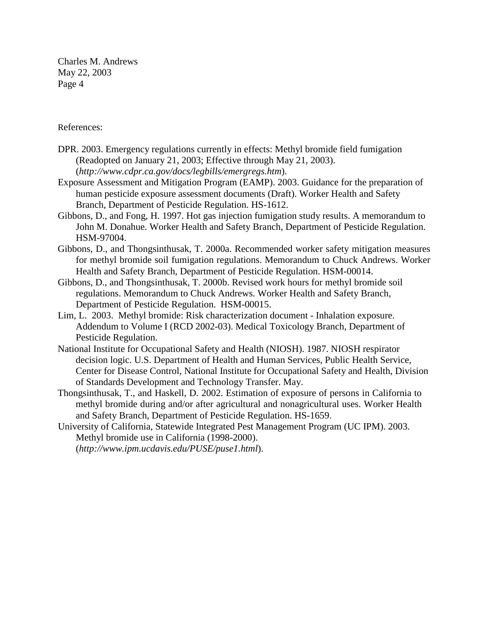#### References:

- DPR. 2003. Emergency regulations currently in effects: Methyl bromide field fumigation (Readopted on January 21, 2003; Effective through May 21, 2003). (*[http://www.cdpr.ca.gov/docs/legbills/emergregs.htm](http://www.cdpr.ca.gov/docs/legbills/emergregs.htm))*).
- Exposure Assessment and Mitigation Program (EAMP). 2003. Guidance for the preparation of human pesticide exposure assessment documents (Draft). Worker Health and Safety Branch, Department of Pesticide Regulation. HS-1612.
- Gibbons, D., and Fong, H. 1997. Hot gas injection fumigation study results. A memorandum to John M. Donahue. Worker Health and Safety Branch, Department of Pesticide Regulation. HSM-97004.
- Gibbons, D., and Thongsinthusak, T. 2000a. Recommended worker safety mitigation measures for methyl bromide soil fumigation regulations. Memorandum to Chuck Andrews. Worker Health and Safety Branch, Department of Pesticide Regulation. HSM-00014.
- Gibbons, D., and Thongsinthusak, T. 2000b. Revised work hours for methyl bromide soil regulations. Memorandum to Chuck Andrews. Worker Health and Safety Branch, Department of Pesticide Regulation. HSM-00015.
- Lim, L. 2003. Methyl bromide: Risk characterization document Inhalation exposure. Addendum to Volume I (RCD 2002-03). Medical Toxicology Branch, Department of Pesticide Regulation.
- National Institute for Occupational Safety and Health (NIOSH). 1987. NIOSH respirator decision logic. U.S. Department of Health and Human Services, Public Health Service, Center for Disease Control, National Institute for Occupational Safety and Health, Division of Standards Development and Technology Transfer. May.
- Thongsinthusak, T., and Haskell, D. 2002. Estimation of exposure of persons in California to methyl bromide during and/or after agricultural and nonagricultural uses. Worker Health and Safety Branch, Department of Pesticide Regulation. HS-1659.
- University of California, Statewide Integrated Pest Management Program (UC IPM). 2003. Methyl bromide use in California (1998-2000). (*[http://www.ipm.ucdavis.edu/PUSE/puse1.html](http://www.ipm.ucdavis.edu/PUSE/puse1.html))*).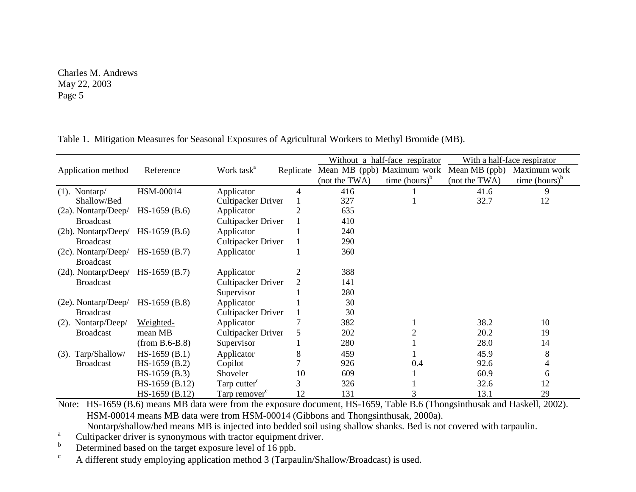|                        |                  |                           |                | Without a half-face respirator |                  | With a half-face respirator |                  |
|------------------------|------------------|---------------------------|----------------|--------------------------------|------------------|-----------------------------|------------------|
| Application method     | Reference        | Work task <sup>a</sup>    | Replicate      | Mean MB (ppb) Maximum work     |                  | Mean MB (ppb)               | Maximum work     |
|                        |                  |                           |                | (not the TWA)                  | time $(hours)^b$ | (not the TWA)               | time $(hours)^b$ |
| $(1)$ . Nontarp/       | HSM-00014        | Applicator                | 4              | 416                            |                  | 41.6                        | 9                |
| Shallow/Bed            |                  | <b>Cultipacker Driver</b> |                | 327                            |                  | 32.7                        | 12               |
| $(2a)$ . Nontarp/Deep/ | $HS-1659(B.6)$   | Applicator                | $\overline{2}$ | 635                            |                  |                             |                  |
| <b>Broadcast</b>       |                  | Cultipacker Driver        |                | 410                            |                  |                             |                  |
| $(2b)$ . Nontarp/Deep/ | $HS-1659(B.6)$   | Applicator                |                | 240                            |                  |                             |                  |
| <b>Broadcast</b>       |                  | Cultipacker Driver        |                | 290                            |                  |                             |                  |
| (2c). Nontarp/Deep/    | $HS-1659(B.7)$   | Applicator                |                | 360                            |                  |                             |                  |
| <b>Broadcast</b>       |                  |                           |                |                                |                  |                             |                  |
| (2d). Nontarp/Deep/    | $HS-1659(B.7)$   | Applicator                | $\overline{2}$ | 388                            |                  |                             |                  |
| <b>Broadcast</b>       |                  | Cultipacker Driver        |                | 141                            |                  |                             |                  |
|                        |                  | Supervisor                |                | 280                            |                  |                             |                  |
| $(2e)$ . Nontarp/Deep/ | $HS-1659(B.8)$   | Applicator                |                | 30                             |                  |                             |                  |
| <b>Broadcast</b>       |                  | Cultipacker Driver        |                | 30                             |                  |                             |                  |
| Nontarp/Deep/<br>(2).  | Weighted-        | Applicator                |                | 382                            |                  | 38.2                        | 10               |
| <b>Broadcast</b>       | mean MB          | Cultipacker Driver        | 5              | 202                            |                  | 20.2                        | 19               |
|                        | $(from B.6-B.8)$ | Supervisor                |                | 280                            |                  | 28.0                        | 14               |
| (3). Tarp/Shallow/     | $HS-1659$ (B.1)  | Applicator                | 8              | 459                            |                  | 45.9                        | 8                |
| <b>Broadcast</b>       | $HS-1659(B.2)$   | Copilot                   |                | 926                            | 0.4              | 92.6                        |                  |
|                        | $HS-1659(B.3)$   | Shoveler                  | 10             | 609                            |                  | 60.9                        | 6                |
|                        | HS-1659 (B.12)   | Tarp cutter <sup>c</sup>  | 3              | 326                            |                  | 32.6                        | 12               |
|                        | HS-1659 (B.12)   | Tarp remover <sup>c</sup> | 12             | 131                            |                  | 13.1                        | 29               |

Table 1. Mitigation Measures for Seasonal Exposures of Agricultural Workers to Methyl Bromide (MB).

Note: HS-1659 (B.6) means MB data were from the exposure document, HS-1659, Table B.6 (Thongsinthusak and Haskell, 2002). HSM-00014 means MB data were from HSM-00014 (Gibbons and Thongsinthusak, 2000a). Nontarp/shallow/bed means MB is injected into bedded soil using shallow shanks. Bed is not covered with tarpaulin.<br>Cultipacker driver is synonymous with tractor equipment driver.<br>Determined based on the target exposure lev

 $\epsilon$  A different study employing application method 3 (Tarpaulin/Shallow/Broadcast) is used.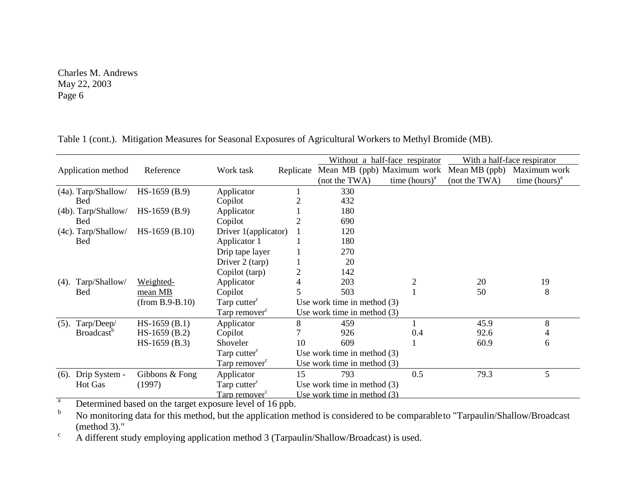|                                               |                                                           |                           |                               | Without a half-face respirator |                  | With a half-face respirator |                  |
|-----------------------------------------------|-----------------------------------------------------------|---------------------------|-------------------------------|--------------------------------|------------------|-----------------------------|------------------|
| Application method                            | Reference                                                 | Work task                 | Replicate                     | Mean MB (ppb) Maximum work     |                  | Mean MB (ppb)               | Maximum work     |
|                                               |                                                           |                           |                               | (not the TWA)                  | time $(hours)^a$ | (not the TWA)               | time $(hours)^a$ |
| (4a). Tarp/Shallow/                           | $HS-1659(B.9)$                                            | Applicator                |                               | 330                            |                  |                             |                  |
| <b>Bed</b>                                    |                                                           | Copilot                   |                               | 432                            |                  |                             |                  |
| $(4b)$ . Tarp/Shallow/                        | $HS-1659$ (B.9)                                           | Applicator                |                               | 180                            |                  |                             |                  |
| <b>Bed</b>                                    |                                                           | Copilot                   |                               | 690                            |                  |                             |                  |
| $(4c)$ . Tarp/Shallow/                        | $HS-1659$ (B.10)                                          | Driver 1(applicator)      |                               | 120                            |                  |                             |                  |
| <b>Bed</b>                                    |                                                           | Applicator 1              |                               | 180                            |                  |                             |                  |
|                                               |                                                           | Drip tape layer           |                               | 270                            |                  |                             |                  |
|                                               |                                                           | Driver 2 (tarp)           |                               | 20                             |                  |                             |                  |
|                                               |                                                           | Copilot (tarp)            | $\overline{2}$                | 142                            |                  |                             |                  |
| Tarp/Shallow/<br>$(4)$ .                      | Weighted-                                                 | Applicator                | 4                             | 203                            |                  | 20                          | 19               |
| <b>Bed</b>                                    | mean MB                                                   | Copilot                   | 5                             | 503                            |                  | 50                          | 8                |
| Tarp cutter <sup>c</sup><br>$(from B.9-B.10)$ |                                                           |                           | Use work time in method $(3)$ |                                |                  |                             |                  |
|                                               |                                                           | Tarp remover <sup>c</sup> |                               | Use work time in method $(3)$  |                  |                             |                  |
| Tarp/Deep/<br>(5).                            | $HS-1659$ (B.1)                                           | Applicator                | 8                             | 459                            |                  | 45.9                        | 8                |
| <b>Broadcast</b> <sup>b</sup>                 | $HS-1659$ (B.2)                                           | Copilot                   |                               | 926                            | 0.4              | 92.6                        | 4                |
|                                               | $HS-1659$ (B.3)                                           | Shoveler                  | 10                            | 609                            |                  | 60.9                        | 6                |
|                                               | Tarp cutter <sup>c</sup><br>Use work time in method $(3)$ |                           |                               |                                |                  |                             |                  |
|                                               |                                                           | Tarp remover <sup>c</sup> |                               | Use work time in method $(3)$  |                  |                             |                  |
| Drip System -<br>(6).                         | Gibbons & Fong                                            | Applicator                | 15                            | 793                            | 0.5              | 79.3                        | 5                |
| <b>Hot Gas</b>                                | (1997)                                                    | Tarp cutter <sup>c</sup>  |                               | Use work time in method $(3)$  |                  |                             |                  |
|                                               |                                                           | Tarp remover <sup>c</sup> |                               | Use work time in method (3)    |                  |                             |                  |

Table 1 (cont.). Mitigation Measures for Seasonal Exposures of Agricultural Workers to Methyl Bromide (MB).

 $T_{\rm b}$  Determined based on the target exposure level of 16 ppb.

No monitoring data for this method, but the application method is considered to be comparable to "Tarpaulin/Shallow/Broadcast (method 3)."

 $\mu$ <sup>c</sup> A different study employing application method 3 (Tarpaulin/Shallow/Broadcast) is used.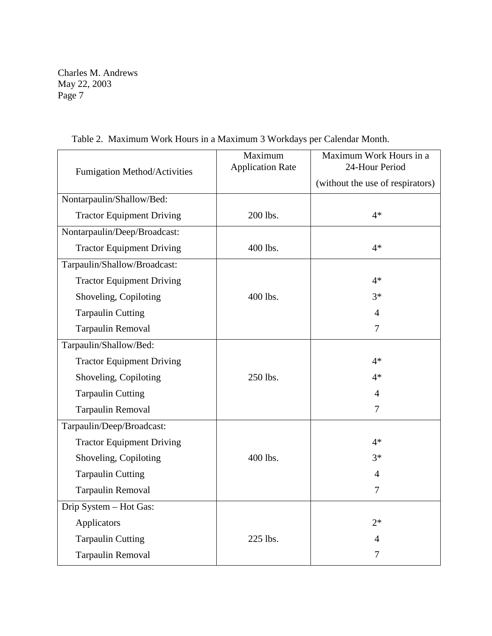| Fumigation Method/Activities     | Maximum<br><b>Application Rate</b> | Maximum Work Hours in a<br>24-Hour Period |  |
|----------------------------------|------------------------------------|-------------------------------------------|--|
|                                  |                                    | (without the use of respirators)          |  |
| Nontarpaulin/Shallow/Bed:        |                                    |                                           |  |
| <b>Tractor Equipment Driving</b> | 200 lbs.                           | $4*$                                      |  |
| Nontarpaulin/Deep/Broadcast:     |                                    |                                           |  |
| <b>Tractor Equipment Driving</b> | 400 lbs.                           | $4*$                                      |  |
| Tarpaulin/Shallow/Broadcast:     |                                    |                                           |  |
| <b>Tractor Equipment Driving</b> |                                    | $4*$                                      |  |
| Shoveling, Copiloting            | 400 lbs.                           | $3*$                                      |  |
| <b>Tarpaulin Cutting</b>         |                                    | $\overline{4}$                            |  |
| <b>Tarpaulin Removal</b>         |                                    | $\overline{7}$                            |  |
| Tarpaulin/Shallow/Bed:           |                                    |                                           |  |
| <b>Tractor Equipment Driving</b> |                                    | $4*$                                      |  |
| Shoveling, Copiloting            | 250 lbs.                           | $4*$                                      |  |
| <b>Tarpaulin Cutting</b>         |                                    | $\overline{4}$                            |  |
| <b>Tarpaulin Removal</b>         |                                    | 7                                         |  |
| Tarpaulin/Deep/Broadcast:        |                                    |                                           |  |
| <b>Tractor Equipment Driving</b> |                                    | $4*$                                      |  |
| Shoveling, Copiloting            | 400 lbs.                           | $3*$                                      |  |
| <b>Tarpaulin Cutting</b>         |                                    | $\overline{4}$                            |  |
| Tarpaulin Removal                |                                    | 7                                         |  |
| Drip System - Hot Gas:           |                                    |                                           |  |
| Applicators                      |                                    | $2*$                                      |  |
| <b>Tarpaulin Cutting</b>         | 225 lbs.                           | 4                                         |  |
| <b>Tarpaulin Removal</b>         |                                    | 7                                         |  |

Table 2. Maximum Work Hours in a Maximum 3 Workdays per Calendar Month.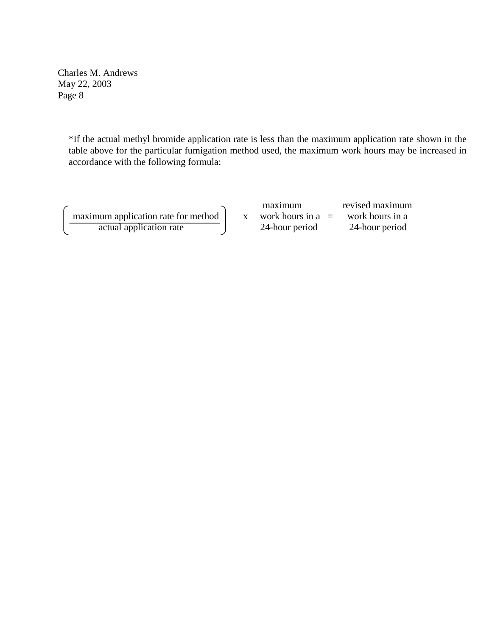> \*If the actual methyl bromide application rate is less than the maximum application rate shown in the table above for the particular fumigation method used, the maximum work hours may be increased in accordance with the following formula:

maximum application rate for method actual application rate

x work hours in  $a =$ maximum 24-hour period

revised maximum work hours in a 24-hour period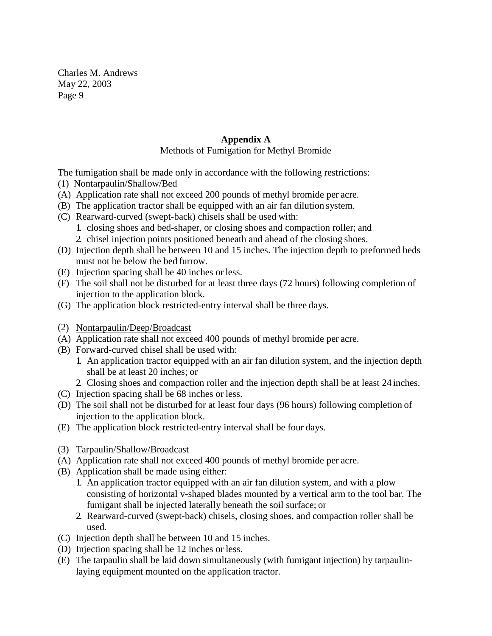# **Appendix A**

# Methods of Fumigation for Methyl Bromide

The fumigation shall be made only in accordance with the following restrictions: (1) Nontarpaulin/Shallow/Bed

- (A) Application rate shall not exceed 200 pounds of methyl bromide per acre.
- (B) The application tractor shall be equipped with an air fan dilution system.
- (C) Rearward-curved (swept-back) chisels shall be used with: 1. closing shoes and bed-shaper, or closing shoes and compaction roller; and 2. chisel injection points positioned beneath and ahead of the closing shoes.
- (D) Injection depth shall be between 10 and 15 inches. The injection depth to preformed beds must not be below the bed furrow.
- (E) Injection spacing shall be 40 inches or less.
- (F) The soil shall not be disturbed for at least three days (72 hours) following completion of injection to the application block.
- (G) The application block restricted-entry interval shall be three days.
- (2) Nontarpaulin/Deep/Broadcast
- (A) Application rate shall not exceed 400 pounds of methyl bromide per acre.
- (B) Forward-curved chisel shall be used with:
	- 1. An application tractor equipped with an air fan dilution system, and the injection depth shall be at least 20 inches; or
	- 2. Closing shoes and compaction roller and the injection depth shall be at least 24 inches.
- (C) Injection spacing shall be 68 inches or less.
- (D) The soil shall not be disturbed for at least four days (96 hours) following completion of injection to the application block.
- (E) The application block restricted-entry interval shall be four days.
- (3) Tarpaulin/Shallow/Broadcast
- (A) Application rate shall not exceed 400 pounds of methyl bromide per acre.
- (B) Application shall be made using either:
	- 1. An application tractor equipped with an air fan dilution system, and with a plow consisting of horizontal v-shaped blades mounted by a vertical arm to the tool bar. The fumigant shall be injected laterally beneath the soil surface; or
	- 2. Rearward-curved (swept-back) chisels, closing shoes, and compaction roller shall be used.
- (C) Injection depth shall be between 10 and 15 inches.
- (D) Injection spacing shall be 12 inches or less.
- (E) The tarpaulin shall be laid down simultaneously (with fumigant injection) by tarpaulinlaying equipment mounted on the application tractor.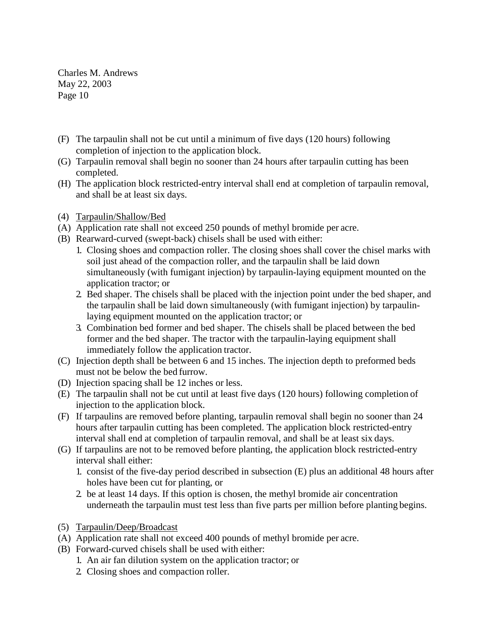- (F) The tarpaulin shall not be cut until a minimum of five days (120 hours) following completion of injection to the application block.
- (G) Tarpaulin removal shall begin no sooner than 24 hours after tarpaulin cutting has been completed.
- (H) The application block restricted-entry interval shall end at completion of tarpaulin removal, and shall be at least six days.
- (4) Tarpaulin/Shallow/Bed
- (A) Application rate shall not exceed 250 pounds of methyl bromide per acre.
- (B) Rearward-curved (swept-back) chisels shall be used with either:
	- 1. Closing shoes and compaction roller. The closing shoes shall cover the chisel marks with soil just ahead of the compaction roller, and the tarpaulin shall be laid down simultaneously (with fumigant injection) by tarpaulin-laying equipment mounted on the application tractor; or
	- 2. Bed shaper. The chisels shall be placed with the injection point under the bed shaper, and the tarpaulin shall be laid down simultaneously (with fumigant injection) by tarpaulinlaying equipment mounted on the application tractor; or
	- 3. Combination bed former and bed shaper. The chisels shall be placed between the bed former and the bed shaper. The tractor with the tarpaulin-laying equipment shall immediately follow the application tractor.
- (C) Injection depth shall be between 6 and 15 inches. The injection depth to preformed beds must not be below the bed furrow.
- (D) Injection spacing shall be 12 inches or less.
- (E) The tarpaulin shall not be cut until at least five days (120 hours) following completion of injection to the application block.
- (F) If tarpaulins are removed before planting, tarpaulin removal shall begin no sooner than 24 hours after tarpaulin cutting has been completed. The application block restricted-entry interval shall end at completion of tarpaulin removal, and shall be at least six days.
- (G) If tarpaulins are not to be removed before planting, the application block restricted-entry interval shall either:
	- 1. consist of the five-day period described in subsection (E) plus an additional 48 hours after holes have been cut for planting, or
	- 2. be at least 14 days. If this option is chosen, the methyl bromide air concentration underneath the tarpaulin must test less than five parts per million before planting begins.
- (5) Tarpaulin/Deep/Broadcast
- (A) Application rate shall not exceed 400 pounds of methyl bromide per acre.
- (B) Forward-curved chisels shall be used with either:
	- 1. An air fan dilution system on the application tractor; or
	- 2. Closing shoes and compaction roller.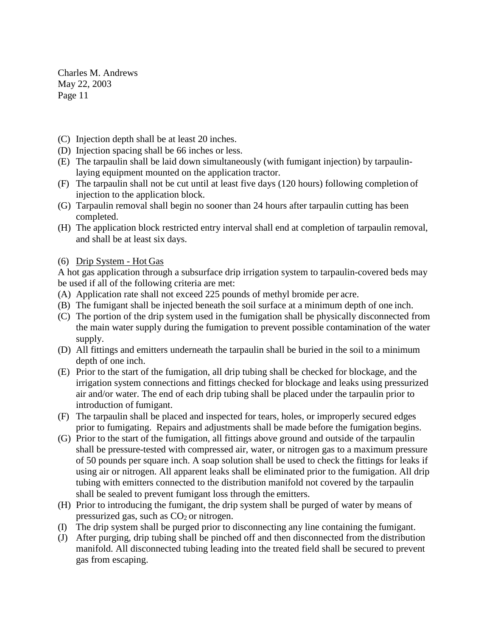- (C) Injection depth shall be at least 20 inches.
- (D) Injection spacing shall be 66 inches or less.
- (E) The tarpaulin shall be laid down simultaneously (with fumigant injection) by tarpaulinlaying equipment mounted on the application tractor.
- (F) The tarpaulin shall not be cut until at least five days (120 hours) following completion of injection to the application block.
- (G) Tarpaulin removal shall begin no sooner than 24 hours after tarpaulin cutting has been completed.
- (H) The application block restricted entry interval shall end at completion of tarpaulin removal, and shall be at least six days.

## (6) Drip System - Hot Gas

A hot gas application through a subsurface drip irrigation system to tarpaulin-covered beds may be used if all of the following criteria are met:

- (A) Application rate shall not exceed 225 pounds of methyl bromide per acre.
- (B) The fumigant shall be injected beneath the soil surface at a minimum depth of one inch.
- (C) The portion of the drip system used in the fumigation shall be physically disconnected from the main water supply during the fumigation to prevent possible contamination of the water supply.
- (D) All fittings and emitters underneath the tarpaulin shall be buried in the soil to a minimum depth of one inch.
- (E) Prior to the start of the fumigation, all drip tubing shall be checked for blockage, and the irrigation system connections and fittings checked for blockage and leaks using pressurized air and/or water. The end of each drip tubing shall be placed under the tarpaulin prior to introduction of fumigant.
- (F) The tarpaulin shall be placed and inspected for tears, holes, or improperly secured edges prior to fumigating. Repairs and adjustments shall be made before the fumigation begins.
- (G) Prior to the start of the fumigation, all fittings above ground and outside of the tarpaulin shall be pressure-tested with compressed air, water, or nitrogen gas to a maximum pressure of 50 pounds per square inch. A soap solution shall be used to check the fittings for leaks if using air or nitrogen. All apparent leaks shall be eliminated prior to the fumigation. All drip tubing with emitters connected to the distribution manifold not covered by the tarpaulin shall be sealed to prevent fumigant loss through the emitters.
- (H) Prior to introducing the fumigant, the drip system shall be purged of water by means of pressurized gas, such as  $CO<sub>2</sub>$  or nitrogen.
- (I) The drip system shall be purged prior to disconnecting any line containing the fumigant.
- (J) After purging, drip tubing shall be pinched off and then disconnected from the distribution manifold. All disconnected tubing leading into the treated field shall be secured to prevent gas from escaping.